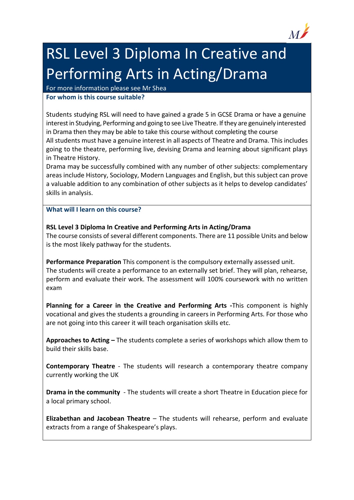

## RSL Level 3 Diploma In Creative and Performing Arts in Acting/Drama

For more information please see Mr Shea

## **For whom is this course suitable?**

Students studying RSL will need to have gained a grade 5 in GCSE Drama or have a genuine interest in Studying, Performing and going to see Live Theatre. If they are genuinely interested in Drama then they may be able to take this course without completing the course All students must have a genuine interest in all aspects of Theatre and Drama. This includes going to the theatre, performing live, devising Drama and learning about significant plays in Theatre History.

Drama may be successfully combined with any number of other subjects: complementary areas include History, Sociology, Modern Languages and English, but this subject can prove a valuable addition to any combination of other subjects as it helps to develop candidates' skills in analysis.

## **What will I learn on this course?**

## **RSL Level 3 Diploma In Creative and Performing Arts in Acting/Drama**

The course consists of several different components. There are 11 possible Units and below is the most likely pathway for the students.

**Performance Preparation** This component is the compulsory externally assessed unit. The students will create a performance to an externally set brief. They will plan, rehearse, perform and evaluate their work. The assessment will 100% coursework with no written exam

**Planning for a Career in the Creative and Performing Arts -**This component is highly vocational and gives the students a grounding in careers in Performing Arts. For those who are not going into this career it will teach organisation skills etc.

**Approaches to Acting –** The students complete a series of workshops which allow them to build their skills base.

**Contemporary Theatre** - The students will research a contemporary theatre company currently working the UK

**Drama in the community** - The students will create a short Theatre in Education piece for a local primary school.

**Elizabethan and Jacobean Theatre** – The students will rehearse, perform and evaluate extracts from a range of Shakespeare's plays.